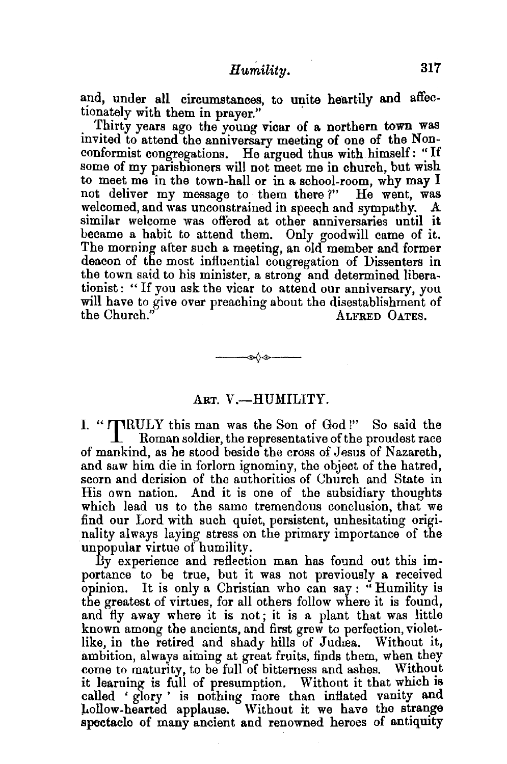and, under all circumstances, to unite heartily and affectionately with them in prayer."

. Thirty years ago the young vicar of a northern town was mvited to attend the anniversary meeting of one of the Nonconformist congregations. He argued thus with himself: "If some of my parishioners will not meet me in church, but wish to meet me in the town-hall or in a school-room, why may I not deliver my message to them there ?" He went, was welcomed, and was unconstrained in speech and sympathy. similar welcome was offered at other anniversaries until it became a habit to attend them. Only goodwill came of it. The morning after such a meeting, an old member and former deacon of the most influential congregation of Dissenters in the town said to his minister, a strong and determined liberationist: "If you ask the vicar to attend our anniversary, you will have to give over preaching about the disestablishment of<br>the Church."<br>ALFRED OATES. ALFRED OATES.

## ART. V.-HUMILITY.

s∆s—

I. " TRULY this man was the Son of God !" So said the Roman soldier, the representative of the proudest race of mankind, as he stood beside the cross of Jesus of Nazareth, and saw him die in forlorn ignominy, the object of the hatred, scorn and derision of the authorities of Church and State in His own nation. And it is one of the subsidiary thoughts which lead us to the same tremendous conclusion, that we find our Lord with such quiet, persistent, unhesitating originality always laying stress on the primary importance of the unpopular virtue of humility.

By experience and reflection man has found out this importance to be true, but it was not previously a received opinion. It is only a Christian who can say: "Humility is the greatest of virtues, for all others follow where it is found, and fly away where it is not; it is a plant that was little known among the ancients, and first grew to perfection, violetlike, in the retired and shady hills of Judrea. Without it, ambition, always aiming at great fruits, finds them, when they come to maturity, to be full of bitterness and ashes. Without it learning is full of presumption. Without it that which is called ' glory ' is nothing more than inflated vanity and }..ollow-hearted applause. Without it we have the strange spectacle of many ancient and renowned heroes of antiquity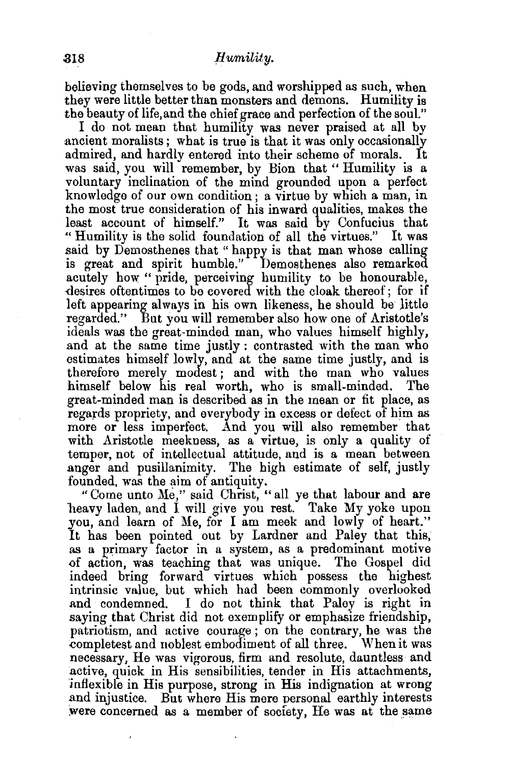believing themselves to be gods, and worshipped as such, when they were little better than monsters and demons. Humility is the beauty of life, and the chief grace and perfection of the soul."

I do not mean that humility was never praised at all by ancient moralists; what is true is that it was only occasionally admired, and hardly entered into their scheme of morals. It was said, you will remember, by Bion that "Humility is a voluntary inclination of the mind grounded upon a perfect knowledge of our own condition ; a virtue by which a man, in the most true consideration of his inward qualities, makes the least account of himself." It was said by Confucius that " Humility is the solid foundation of all the virtues." It was said by Demosthenes that "happy is that man whose calling is great and spirit humble." Demosthenes also remarked acutely how "pride, perceiving humility to be honourable, desires oftentimes to be covered with the cloak thereof; for if left appearing always in his own likeness, he should be little regarded." But you will remember also how one of Aristotle's ideals was the great-minded man, who values himself highly, and at the same time justly : contrasted with the man who estimates himself lowly, and at the same time justly, and is therefore merely modest; and with the man who values himself below his real worth, who is small-minded. The great-minded man is described as in the mean or fit place, as regards propriety, and everybody in excess or defect of him as more or less imperfect. And you will also remember that with Aristotle meekness, as a virtue, is only a quality of temper, not of intellectual attitude, and is a mean between anger and pusillanimity. The high estimate of self, justly founded, was the aim of antiquity.

"Come unto Me," said Christ, "all ye that labour and are heavy laden, and I will give you rest. Take My yoke upon you, and learn of Me, for I am meek and lowly of heart." It has been pointed out by Lardner and Paley that this, as a primary factor in a system, as a predominant motive of action, was teaching that was unique. The Gospel did indeed bring forward virtues which possess the highest intrinsic value, but which bad been commonly overlooked and condemned. I do not think that Paley is right in saying that Christ did not exemplify or emphasize friendship, patriotism, and active courage; on the contrary, he was the completest and noblest embodiment of all three. When it was necessary, He was vigorous, firm and resolute, dauntless and .active, quick in His sensibilities, tender in His attachments, jnflexible in His purpose, strong in His indignation at wrong .and injustice. But where His mere personal earthly interests were concerned as a member of society. He was at the same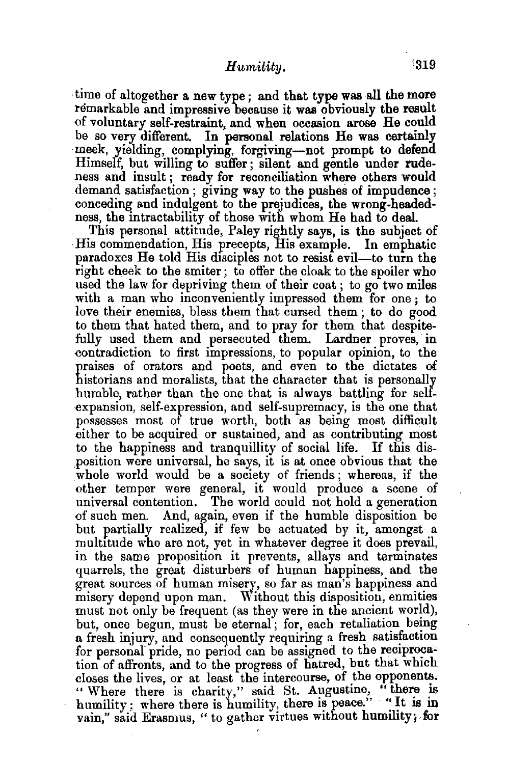## *Humility.*  $319$

, time of altogether a new type ; and that type was all the more remarkable and impressive because it was obviously the result of voluntary self-restraint, and when occasion arose He could be so very different. In personal relations He was certainly meek, yielding, complying, forgiving-not prompt to defend Himself, but willing to suffer ; silent and gentle under rudeness and insult; ready for reconciliation where others would demand satisfaction ; giving way to the pushes of impudence; conceding and indulgent to the prejudices, the wrong-headedness, the intractability of those with whom He had to deal.

This personal attitude, Paley rightly says, is the subject of .His commendation, His precepts, His examp]e. In emphatic paradoxes He told His disciples not to resist evil-to turn the right cheek to the smiter; to offer the cloak to the spoiler who used the law for depriving them of their coat ; to go two miles with a man who inconveniently impressed them for one; to love their enemies, bless them that cursed them ; to do good to them that hated them, and to pray for them that despitefully used them and persecuted them. Lardner proves, in contradiction to first impressions, to popular opinion, to the praises of orators and poets, and even to the dictates of historians and moralists, that the character that is personally humble, rather than the one that is always battling for selfexpansion, self-expression, and self-supremacy, is the one that possesses most of true worth, both as being most difficult either to be acquired or sustained, and as contributing most to the happiness and tranquillity of social life. If this dis- ,position were universal, he says, it is at once obvious that the whole world would be a society of friends; whereas, if the other temper were general, it would produce a scene of universal contention. The world could not hold a generation {)f such men. And, again, even if the humble disposition be but partially realized, if few be actuated by it, amongst a multitude who are not, yet in whatever degree it does prevail, in the same proposition it prevents, allays and terminates quarrels, the great disturbers of human happiness, and the great sources of human misery, so far as man's happiness and misery depend upon man. Without this disposition, enmities must not only be frequent (as they were in the ancient world), but, once begun, must be eternal; for, each retaliation being a fresh injury, and consequently requiring a fresh satisfaction for personal pride, no period can be assigned to the reciprocation of affronts, and to the progress of hatred, but that which closes the lives, or at least the intercourse, of the opponents. " Where there is charity," said St. Augustine, "there is humility; where there is humility, there is peace." "It is in vain," said Erasmus, " to gather virtues without humility; for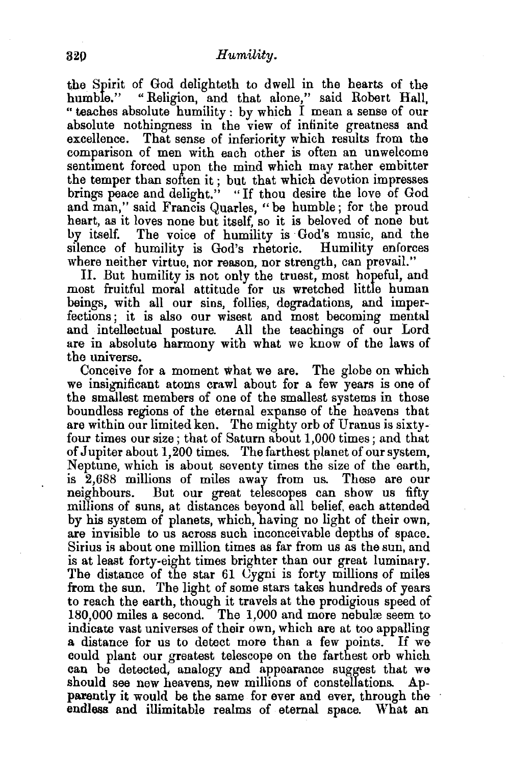the Spirit of God delighteth to dwell in the hearts of the humble." "Religion, and that alone," said Robert Hall, " teaches absolute humility : by which I mean a sense of our absolute nothingness in the view of infinite greatness and excellence. That sense of inferiority which results from the comparison of men with each other is often an unwelcome sentiment forced upon the mind which may rather embitter the temper than soften it ; but that which devotion impresses brings peace and delight." "If thou desire the love of God and man," said Francis Quarles, " be humble ; for the proud heart, as it loves none but itself, so it is beloved of none but by itself. The voice of humility is God's music, and the silence of humility is God's rhetoric. Humility enforces where neither virtue, nor reason, nor strength, can prevail."

II. But humility is not only the truest, most hopeful, and most fruitful moral attitude for us wretched little human beings, with all our sins, follies, degradations, and imperfections; it is also our wisest and most becoming mental and intellectual posture. All the teachings of our Lord are in absolute harmony with what we know of the laws of the universe.

Conceive for a moment what we are. The globe on which we insignificant atoms crawl about for a few years is one of the smallest members of one of the smallest systems in those boundless regions of the eternal expanse of the heavens that are within our limited ken. The mighty orb of Uranus is sixtyfour times our size; that of Saturn about 1,000 times; and that of Jupiter about 1,200 times. The farthest planet of our system, Neptune, which is about seventy times the size of the earth, is 2,688 millions of miles away from us. These are our neighbours. But our great telescopes can show us fifty millions of suns, at distances beyond all belief. each attended by his system of planets, which, having no light of their own, are invisible to us across such inconceivable depths of space. Sirius is about one million times as far from us as the sun, and is at least forty-eight times brighter than our great luminary. The distance of the star 61 Uygni is forty millions of miles from the sun. The light of some stars takes hundreds of years to reach the earth, though it travels at the prodigious speed of 180,000 miles a second. The 1,000 and more nebulæ seem to indicate vast universes of their own, which are at too appalling a distance for us to detect more than a few points. If wecould plant our greatest telescope on the farthest orb which can be detected, analogy and appearance suggest that we should see new heavens, new millions of constellations. Apparently it would be the same for ever and ever, through the endless. and illimitable realms of eternal space. What an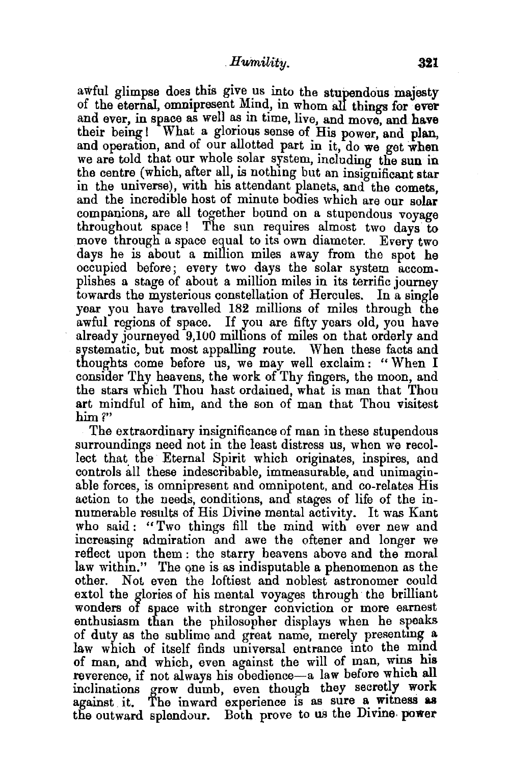awful glimpse does this give us into the stupendous majesty of the eternal, omnipresent Mind, in whom all things for ever and ever, in space as well as in time, live, and move, and have their being! What a glorious sense of His power, and plan, and operation, and of our allotted part in it, do we get when we are told that our whole solar system, including the sun in the centre (which, after all, is nothing but an insignificant star in the universe), with his attendant planets, and the comets. and the incredible host of minute bodies which are our solar companions, are all together bound on a stupendous voyage throughout space! The sun requires almost two days to move through a space equal to its own diameter. Every two days he is about a million miles away from the spot he occupied before; every two days the solar system accomplishes a stage of about a million miles in its terrific journey towards the mysterious constellation of Hercules. In a single year you have travelled 182 millions of miles through the awful regions of space. If you are fifty years old, you have already journeyed 9,100 millions of miles on that orderly and systematic, but most appalling route. When these facts and thoughts come before us, we may well exclaim: "When I consider Thy heavens, the work of Thy fingers, the moon, and the stars which Thou hast ordained, what is man that Thou art mindful of him, and the son of man that Thou visitest him?"

The extraordinary insignificance of man in these stupendous surroundings need not in the least distress us, when we recollect that the Eternal Spirit which originates, inspires, and controls all these indescribable, immeasurable, aud unimaginable forces, is omnipresent and omnipotent, and co-relates His action to the needs, conditions, and stages of life of the innumerable results of His Divine mental activity. It was Kant who said: "Two things fill the mind with ever new and increasing admiration and awe the oftener and longer we reflect upon them : the starry heavens above and the moral law within." The one is as indisputable a phenomenon as the other. Not even the loftiest and noblest astronomer could extol the glories of his mental voyages through the brilliant wonders of space with stronger conviction or more earnest enthusiasm than the philosopher displays when he speaks of duty as the sublime and great name, merely presenting a law which of itself finds universal entrance into the mind of man, and which, even against the will of man, wins his reverence, if not always his obedience-a law before which all inclinations grow dumb, even though they secretly work against it. The inward experience is as sure a witness as the outward splendour. Both prove to us the Divine, power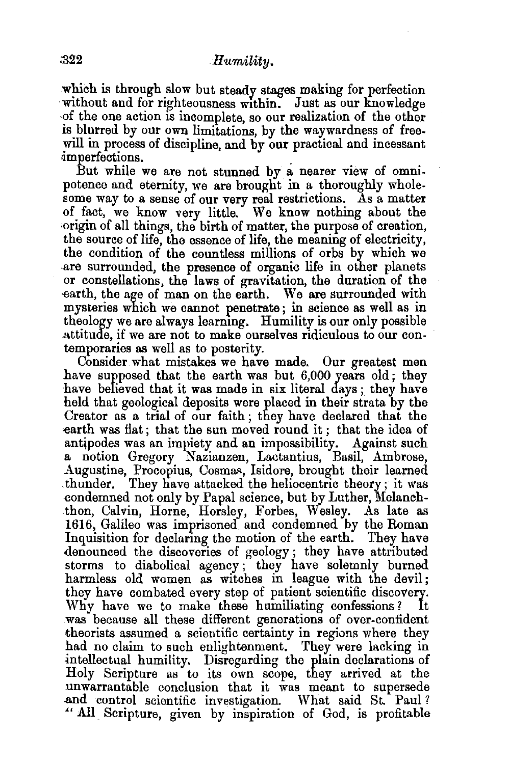which is through slow but steady stages making for perfection without and for righteousness within. Just as our knowledge ·of the one action is incomplete, so our realization of the other is blurred by our own limitations, by the waywardness of freewill in process of discipline, and by our practical and incessant 4mperfections.

But while we are not stunned by a nearer view of omnipotence and eternity, we are brought in a thoroughly wholesome way to a sense of our very real restrictions. As a matter of fact, we know very little. We know nothing about the ·origin of all things, the birth of matter, the purpose of creation, the source of life, the essence of life, the meaning of electricity, the condition of the countless millions of orbs by which we .are surrounded, the presence of organic life in other planets or constellations, the laws of gravitation, the duration of the earth, the age of man on the earth. We are surrounded with mysteries which we cannot penetrate; in science as well as in theology we are always learmng. Humility is our only possible attitude, if we are not to make ourselves ridiculous to our contemporaries as well as to posterity.

Consider what mistakes we have made. Our greatest men have supposed that the earth was but 6,000 years old; they have believed that it was made in six literal days ; they have held that geological deposits were placed in their strata by the Creator as a trial of our faith ; they have declared that the rearth was flat; that the sun moved round it ; that the idea of antipodes was an impiety and an impossibility. Against such a notion Gregory Nazianzen, Lactantius, Basil, Ambrose, Augustine, Procopius, Cosmas, Isidore, brought their learned thunder. They have attacked the heliocentric theory; it was -condemned not only by Papal science, but by Luther, Melanch- .thon, Calvin, Horne, Horsley, Forbes, Wesley. As late as 1616, Galileo was imprisoned and condemned by the Roman Inquisition for declaring the motion of the earth. They have denounced the discoveries of geology ; they have attributed storms to diabolical agency ; they have solemnly burned harmless old women as witches in league with the devil; they have combated every step of patient scientific discovery.<br>Why have we to make these humiliating confessions? It Why have we to make these humiliating confessions? was because all these different generations of over-confident theorists assumed a scientific certainty in regions where they had no claim to such enlightenment. They were lacking in intellectual humility. Disregarding the plain declarations of Holy Scripture as to its own scope, they arrived at the unwarrantable conclusion that it was meant to supersede .and control scientific investigation. What said St. Paul? "All. Scripture, given by inspiration of God, is profitable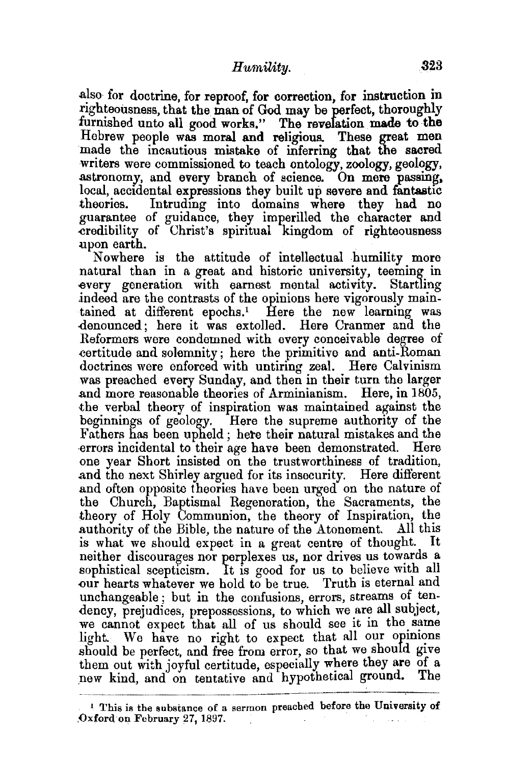also for doctrine, for reproof, for correction, for instruction in righteousness, that the man of God may be perfect, thoroughly furnished unto all good works." The revelation made to the Hebrew people was moral and religious. These great men made the incautious mistake of inferring that the sacred writers were commissioned to teach ontology, zoology, geology, .astronomy, and every branch of science. On mere passing. local, accidental expressions they built up severe and fantastic theories. Intrudmg into domains where they had no guarantee of guidance, they imperilled the character and -credibility of Christ's spiritual kingdom of righteousness upon earth.

Now here is the attitude of intellectual humility more natural than in a great and historic university, teeming in .every generation with earnest mental activity. Startling indeed are the contrasts of the opinions here vigorously maintained at different epochs.1 Here the new learning was .denounced ; here it was extolled. Here Cranmer and the Reformers were condemned with every conceivable degree of .certitude and solemnity; here the primitive and anti-Roman doctrines were enforced with untiring zeal. Here Calvinism was preached every Sunday, and then in their turn the larger .and more reasonable theories of Arminianism. Here, in 1805, the verbal theory of inspiration was maintained against the beginnings of geology. Here the supreme authority of the Fathers has been upheld; here their natural mistakes and the errors incidental to their age have been demonstrated. Here one year Short insisted on the trustworthiness of tradition, .and the next Shirley argued for its insecurity. Here different and often opposite theories have been urged on the nature of . theory of Holy Communion, the theory of Inspiration, the the Church, Baptismal Regeneration, the Sacraments, the .authority of the Bible, the nature of the Atonement. All this is what we should expect in a great centre of thought. It neither discourages nor perplexes us, nor drives us towards a sophistical scepticism. It is good for us to believe with all our hearts whatever we hold to be true. Truth is eternal and unchangeable; but in the confusions, errors, streams of tendency, prejudices, prepossessions, to which we are all subject, we cannot expect that all of us should see it in the same light. We have no right to expect that all our opinions should be perfect, and free from error, so that we should give them out with joyful certitude, especially where they are of a new kind and on tentative and hypothetical ground. The new kind, and on tentative and hypothetical ground.

<sup>&</sup>lt;sup>1</sup> This is the substance of a sermon preached before the University of ,Oxford·on February 27, 1897.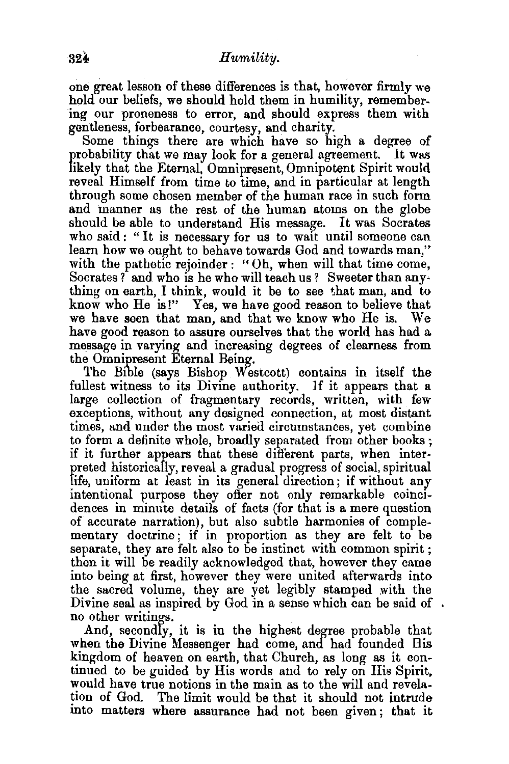one great lesson of these differences is that, however firmly we hold our beliefs, we should hold them in humility, remembering our proneness to error, and should express them with gentleness, forbearance, courtesy, and charity.

Some things there are which have so high a degree of probability that we may look for a general agreement. It was likely that the Eternal, Omnipresent, Omnipotent Spirit would reveal Himself from time to time, and in particular at length through some chosen member of the human race in such form and manner as the rest of the human atoms on the globe should be able to understand His message. It was Socrates who said : " It is necessary for us to wait until someone can learn how we ought to behave towards God and towards man," with the pathetic rejoinder : "Oh, when will that time come, Socrates? and who is he who will teach us? Sweeter than any• thing on earth, I think, would it be to see that man, and to know who He is!" Yes, we have good reason to believe that we have seen that man, and that we know who He is. We have good reason to assure ourselves that the world has had a message in varying and increasing degrees of clearness from the Omnipresent Eternal Being.

The Bible (says Bishop Westcott) contains in itself the fullest witness to its Divine authority. ]f it appears that a large collection of fragmentary records, written, with few exceptions, without any designed connection, at most distant times, and under the most varied circumstances, yet combine to form a definite whole, broadly separated from other books ; if it further appears that these difierent parts, when interpreted historically, reveal a gradual progress of social, spiritual life, uniform at least in its general direction; if without any intentional purpose they offer not only remarkable coincidences in minute details of facts (for that is a mere question of accurate narration), but also subtle harmonies of complementary doctrine ; if in proportion as they are felt to be separate, they are felt also to be instinct with common spirit ; then it will be readily acknowledged that, however they came into being at first, however they were united afterwards into the sacred volume, they are yet legibly stamped with the Divine seal as inspired by God in a sense which can be said of. no other writings.

And, secondly, it is in the highest degree probable that when the Divine Messenger had come, and had founded His kingdom of heaven on earth, that Church, as long as it continued to be guided by His words and to rely on His Spirit, would have true notions in the main as to the will and revelation of God. The limit would be that it should not intrude into matters where assurance had not been given; that it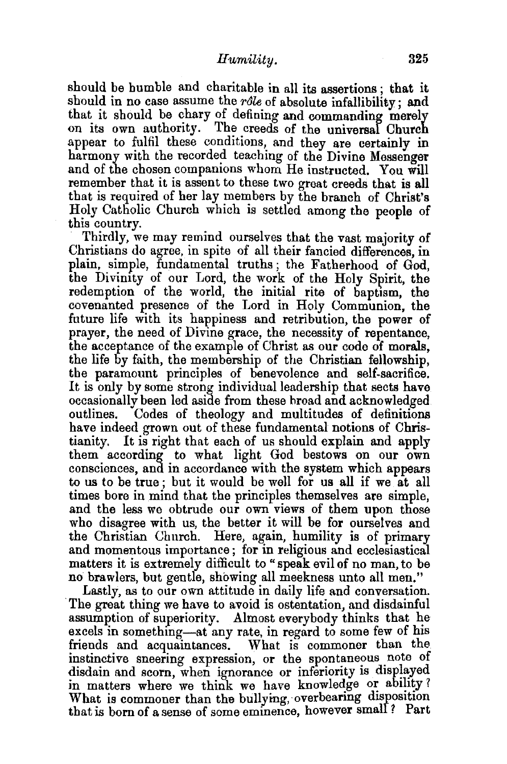should be humble and charitable in all its assertions ; that it should in no case assume the *rôle* of absolute infallibility; and that it should be chary of defining and commanding merely on its own authority. The creeds of the universal Church appear to fulfil these conditions, and they are certainly in harmony with the recorded teaching of the Divine Messenger and of the chosen companions whom He instructed. You will remember that it is assent to these two great creeds that is all that is required of her lay members by the branch of Christ's Holy Catholic Church which is settled among the people of this country.

Thirdly, we may remind ourselves that the vast majority of Christians do agree, in spite of all their fancied differences, in plain, simple, fundamental truths ; the Fatherhood of God, the Divinity of our Lord, the work of the Holy Spirit, the redemption of the world, the initial rite of baptism, the covenanted presence of the Lord in Holy Communion, the future life with its happiness and retribution, the power of prayer, the need of Divine grace, the necessity of repentance, the acceptance of the example of Christ as our code of morals, the life by faith, the membership of the Christian fellowship, the paramount principles of benevolence and self-sacrifice. It is only by some strong individual leadership that sects have occasionally been led aside from these broad and acknowledged outlines. Codes of theology and multitudes of definitions have indeed grown out of these fundamental notions of Christianity. It is right that each of us should explain and apply them according to what light God bestows on our own consciences, and in accordance with the system which appears to us to be true ; but it would be well for us all if we at all times bore in mind that the principles themselves are simple, and the less we obtrude our own views of them upon those who disagree with us, the better it will be for ourselves and the Christian Church. Here, again, humility is of primary and momentous importance; for in religious and ecclesiastical matters it is extremely difficult to "speak evil of no man, to be no brawlers, but gentle, showing all meekness unto all men." Lastly, as to our own attitude in daily life and conversation.

The great thing we have to avoid is ostentation, and disdainful assumption of superiority. Almost everybody thinks that he excels in something-at any rate, in regard to some few of his friends and acquaintances. What is commoner than the instinctive sneering expression, or the spontaneous note of disdain and scorn, when ignorance or inferiority is displayed in matters where we think we have knowledge or ability? What is commoner than the bullying, overbearing disposition that is born of a sense of some eminence, however smalf? Part